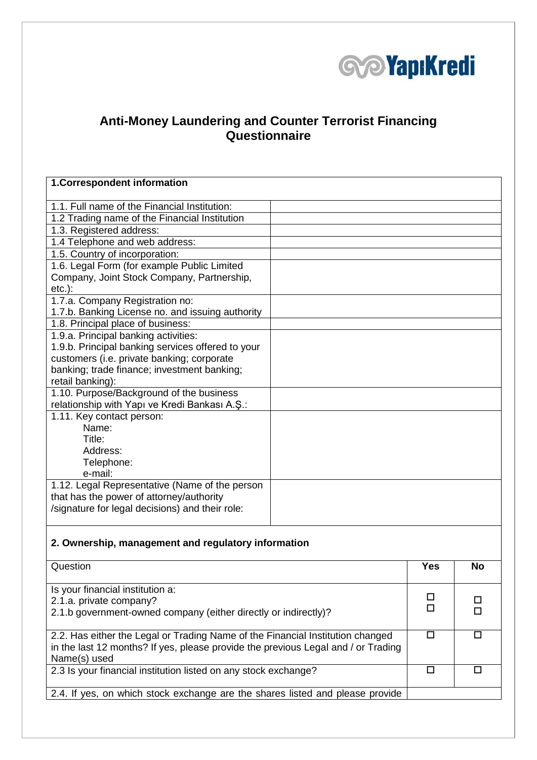

## **Anti-Money Laundering and Counter Terrorist Financing Questionnaire**

| 1. Correspondent information                                                      |            |           |
|-----------------------------------------------------------------------------------|------------|-----------|
|                                                                                   |            |           |
| 1.1. Full name of the Financial Institution:                                      |            |           |
| 1.2 Trading name of the Financial Institution                                     |            |           |
| 1.3. Registered address:                                                          |            |           |
| 1.4 Telephone and web address:                                                    |            |           |
| 1.5. Country of incorporation:                                                    |            |           |
| 1.6. Legal Form (for example Public Limited                                       |            |           |
| Company, Joint Stock Company, Partnership,                                        |            |           |
| $etc.$ ):                                                                         |            |           |
| 1.7.a. Company Registration no:                                                   |            |           |
| 1.7.b. Banking License no. and issuing authority                                  |            |           |
| 1.8. Principal place of business:                                                 |            |           |
| 1.9.a. Principal banking activities:                                              |            |           |
| 1.9.b. Principal banking services offered to your                                 |            |           |
| customers (i.e. private banking; corporate                                        |            |           |
| banking; trade finance; investment banking;                                       |            |           |
| retail banking):                                                                  |            |           |
| 1.10. Purpose/Background of the business                                          |            |           |
| relationship with Yapı ve Kredi Bankası A.Ş.:                                     |            |           |
| 1.11. Key contact person:                                                         |            |           |
| Name:                                                                             |            |           |
| Title:                                                                            |            |           |
| Address:                                                                          |            |           |
| Telephone:                                                                        |            |           |
| e-mail:                                                                           |            |           |
| 1.12. Legal Representative (Name of the person                                    |            |           |
| that has the power of attorney/authority                                          |            |           |
| /signature for legal decisions) and their role:                                   |            |           |
|                                                                                   |            |           |
|                                                                                   |            |           |
| 2. Ownership, management and regulatory information                               |            |           |
| Question                                                                          | <b>Yes</b> | <b>No</b> |
|                                                                                   |            |           |
| Is your financial institution a:                                                  |            |           |
| 2.1.a. private company?                                                           | □          | □         |
| 2.1.b government-owned company (either directly or indirectly)?                   | $\Box$     | п         |
|                                                                                   |            |           |
| 2.2. Has either the Legal or Trading Name of the Financial Institution changed    | $\Box$     | $\Box$    |
| in the last 12 months? If yes, please provide the previous Legal and / or Trading |            |           |
| Name(s) used                                                                      |            |           |

2.4. If yes, on which stock exchange are the shares listed and please provide

2.3 Is your financial institution listed on any stock exchange?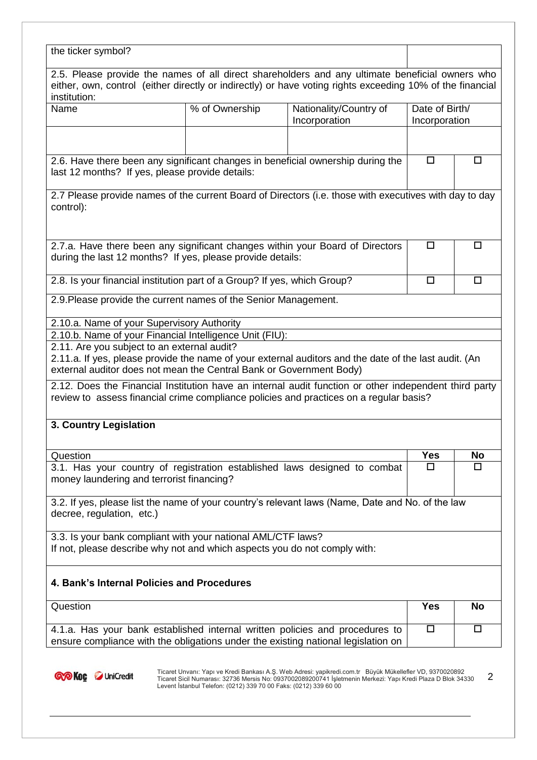| the ticker symbol?                                                                                                                                                                                                              |                                                                 |                                                                                                                                                                                                              |                                 |           |
|---------------------------------------------------------------------------------------------------------------------------------------------------------------------------------------------------------------------------------|-----------------------------------------------------------------|--------------------------------------------------------------------------------------------------------------------------------------------------------------------------------------------------------------|---------------------------------|-----------|
| institution:                                                                                                                                                                                                                    |                                                                 | 2.5. Please provide the names of all direct shareholders and any ultimate beneficial owners who<br>either, own, control (either directly or indirectly) or have voting rights exceeding 10% of the financial |                                 |           |
| Name                                                                                                                                                                                                                            | % of Ownership                                                  | Nationality/Country of<br>Incorporation                                                                                                                                                                      | Date of Birth/<br>Incorporation |           |
|                                                                                                                                                                                                                                 |                                                                 |                                                                                                                                                                                                              |                                 |           |
| last 12 months? If yes, please provide details:                                                                                                                                                                                 |                                                                 | 2.6. Have there been any significant changes in beneficial ownership during the                                                                                                                              | $\Box$                          | □         |
| control):                                                                                                                                                                                                                       |                                                                 | 2.7 Please provide names of the current Board of Directors (i.e. those with executives with day to day                                                                                                       |                                 |           |
|                                                                                                                                                                                                                                 | during the last 12 months? If yes, please provide details:      | 2.7.a. Have there been any significant changes within your Board of Directors                                                                                                                                | □                               | $\Box$    |
| 2.8. Is your financial institution part of a Group? If yes, which Group?                                                                                                                                                        |                                                                 |                                                                                                                                                                                                              | □                               | □         |
|                                                                                                                                                                                                                                 | 2.9. Please provide the current names of the Senior Management. |                                                                                                                                                                                                              |                                 |           |
|                                                                                                                                                                                                                                 |                                                                 |                                                                                                                                                                                                              |                                 |           |
|                                                                                                                                                                                                                                 |                                                                 |                                                                                                                                                                                                              |                                 |           |
|                                                                                                                                                                                                                                 |                                                                 |                                                                                                                                                                                                              |                                 |           |
| 2.10.a. Name of your Supervisory Authority<br>2.10.b. Name of your Financial Intelligence Unit (FIU):<br>2.11. Are you subject to an external audit?<br>external auditor does not mean the Central Bank or Government Body)     |                                                                 | 2.11.a. If yes, please provide the name of your external auditors and the date of the last audit. (An                                                                                                        |                                 |           |
|                                                                                                                                                                                                                                 |                                                                 | 2.12. Does the Financial Institution have an internal audit function or other independent third party<br>review to assess financial crime compliance policies and practices on a regular basis?              |                                 |           |
| 3. Country Legislation                                                                                                                                                                                                          |                                                                 |                                                                                                                                                                                                              |                                 |           |
|                                                                                                                                                                                                                                 |                                                                 |                                                                                                                                                                                                              | Yes                             | No        |
|                                                                                                                                                                                                                                 |                                                                 | 3.1. Has your country of registration established laws designed to combat                                                                                                                                    | П                               | П         |
|                                                                                                                                                                                                                                 |                                                                 | 3.2. If yes, please list the name of your country's relevant laws (Name, Date and No. of the law                                                                                                             |                                 |           |
| Question<br>money laundering and terrorist financing?<br>decree, regulation, etc.)<br>3.3. Is your bank compliant with your national AML/CTF laws?<br>If not, please describe why not and which aspects you do not comply with: |                                                                 |                                                                                                                                                                                                              |                                 |           |
| 4. Bank's Internal Policies and Procedures                                                                                                                                                                                      |                                                                 |                                                                                                                                                                                                              |                                 |           |
| Question                                                                                                                                                                                                                        |                                                                 |                                                                                                                                                                                                              | <b>Yes</b>                      | <b>No</b> |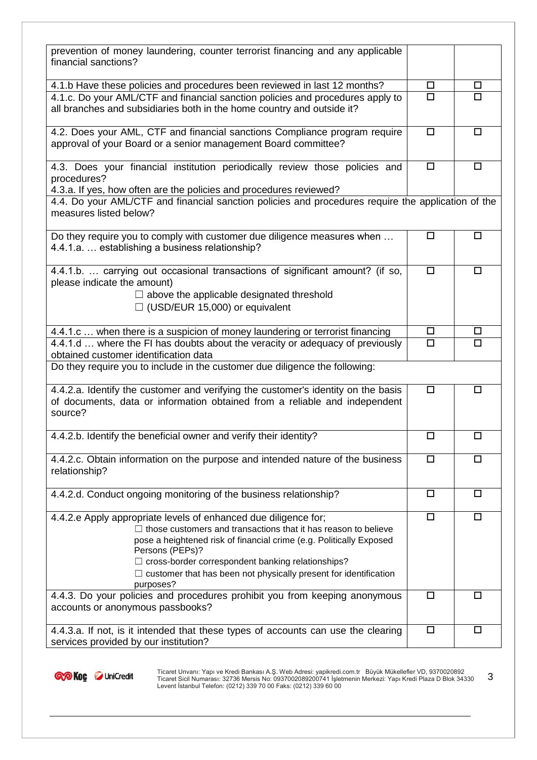| prevention of money laundering, counter terrorist financing and any applicable<br>financial sanctions?                                                                                                                                                                                                                                                                                 |        |        |
|----------------------------------------------------------------------------------------------------------------------------------------------------------------------------------------------------------------------------------------------------------------------------------------------------------------------------------------------------------------------------------------|--------|--------|
| 4.1.b Have these policies and procedures been reviewed in last 12 months?                                                                                                                                                                                                                                                                                                              | □      | $\Box$ |
| 4.1.c. Do your AML/CTF and financial sanction policies and procedures apply to<br>all branches and subsidiaries both in the home country and outside it?                                                                                                                                                                                                                               | $\Box$ | $\Box$ |
| 4.2. Does your AML, CTF and financial sanctions Compliance program require<br>approval of your Board or a senior management Board committee?                                                                                                                                                                                                                                           | $\Box$ | $\Box$ |
| 4.3. Does your financial institution periodically review those policies and<br>procedures?<br>4.3.a. If yes, how often are the policies and procedures reviewed?                                                                                                                                                                                                                       | $\Box$ | $\Box$ |
| 4.4. Do your AML/CTF and financial sanction policies and procedures require the application of the<br>measures listed below?                                                                                                                                                                                                                                                           |        |        |
| Do they require you to comply with customer due diligence measures when<br>4.4.1.a.  establishing a business relationship?                                                                                                                                                                                                                                                             | $\Box$ | $\Box$ |
| 4.4.1.b.  carrying out occasional transactions of significant amount? (if so,<br>please indicate the amount)<br>$\Box$ above the applicable designated threshold<br>$\Box$ (USD/EUR 15,000) or equivalent                                                                                                                                                                              | $\Box$ | □      |
| 4.4.1.c  when there is a suspicion of money laundering or terrorist financing                                                                                                                                                                                                                                                                                                          | □      | □      |
| 4.4.1.d  where the FI has doubts about the veracity or adequacy of previously<br>obtained customer identification data                                                                                                                                                                                                                                                                 | $\Box$ | $\Box$ |
| Do they require you to include in the customer due diligence the following:                                                                                                                                                                                                                                                                                                            |        |        |
| 4.4.2.a. Identify the customer and verifying the customer's identity on the basis<br>of documents, data or information obtained from a reliable and independent<br>source?                                                                                                                                                                                                             | $\Box$ | $\Box$ |
| 4.4.2.b. Identify the beneficial owner and verify their identity?                                                                                                                                                                                                                                                                                                                      | $\Box$ | $\Box$ |
| 4.4.2.c. Obtain information on the purpose and intended nature of the business<br>relationship?                                                                                                                                                                                                                                                                                        | $\Box$ | □      |
| 4.4.2.d. Conduct ongoing monitoring of the business relationship?                                                                                                                                                                                                                                                                                                                      | $\Box$ | $\Box$ |
| 4.4.2.e Apply appropriate levels of enhanced due diligence for;<br>$\Box$ those customers and transactions that it has reason to believe<br>pose a heightened risk of financial crime (e.g. Politically Exposed<br>Persons (PEPs)?<br>$\Box$ cross-border correspondent banking relationships?<br>$\Box$ customer that has been not physically present for identification<br>purposes? | $\Box$ | $\Box$ |
| 4.4.3. Do your policies and procedures prohibit you from keeping anonymous<br>accounts or anonymous passbooks?                                                                                                                                                                                                                                                                         | $\Box$ | $\Box$ |
| 4.4.3.a. If not, is it intended that these types of accounts can use the clearing<br>services provided by our institution?                                                                                                                                                                                                                                                             | $\Box$ | $\Box$ |

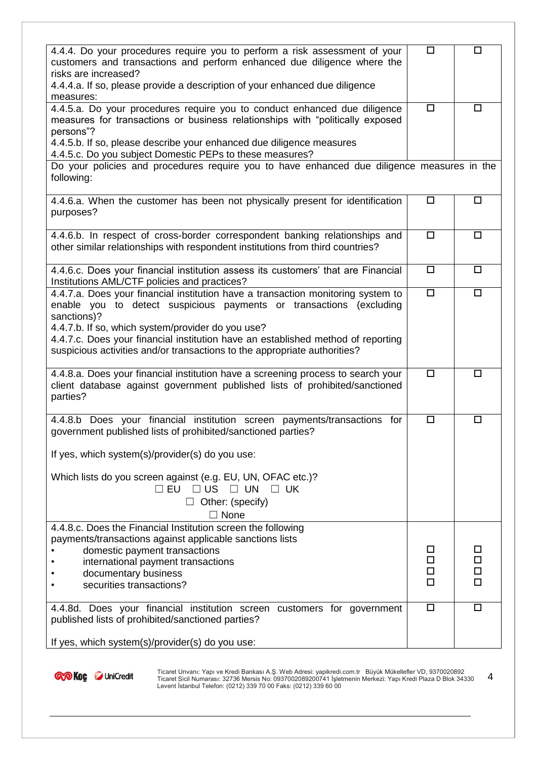| 4.4.4. Do your procedures require you to perform a risk assessment of your<br>customers and transactions and perform enhanced due diligence where the<br>risks are increased?<br>4.4.4.a. If so, please provide a description of your enhanced due diligence<br>measures:<br>4.4.5.a. Do your procedures require you to conduct enhanced due diligence<br>measures for transactions or business relationships with "politically exposed<br>persons"?<br>4.4.5.b. If so, please describe your enhanced due diligence measures<br>4.4.5.c. Do you subject Domestic PEPs to these measures?<br>Do your policies and procedures require you to have enhanced due diligence measures in the<br>following: | □<br>$\Box$ | $\Box$<br>$\Box$ |
|------------------------------------------------------------------------------------------------------------------------------------------------------------------------------------------------------------------------------------------------------------------------------------------------------------------------------------------------------------------------------------------------------------------------------------------------------------------------------------------------------------------------------------------------------------------------------------------------------------------------------------------------------------------------------------------------------|-------------|------------------|
|                                                                                                                                                                                                                                                                                                                                                                                                                                                                                                                                                                                                                                                                                                      |             |                  |
|                                                                                                                                                                                                                                                                                                                                                                                                                                                                                                                                                                                                                                                                                                      |             |                  |
|                                                                                                                                                                                                                                                                                                                                                                                                                                                                                                                                                                                                                                                                                                      |             |                  |
|                                                                                                                                                                                                                                                                                                                                                                                                                                                                                                                                                                                                                                                                                                      |             |                  |
|                                                                                                                                                                                                                                                                                                                                                                                                                                                                                                                                                                                                                                                                                                      |             |                  |
| 4.4.6.a. When the customer has been not physically present for identification<br>purposes?                                                                                                                                                                                                                                                                                                                                                                                                                                                                                                                                                                                                           | □           | $\Box$           |
| 4.4.6.b. In respect of cross-border correspondent banking relationships and<br>other similar relationships with respondent institutions from third countries?                                                                                                                                                                                                                                                                                                                                                                                                                                                                                                                                        | □           | $\Box$           |
| 4.4.6.c. Does your financial institution assess its customers' that are Financial<br>Institutions AML/CTF policies and practices?                                                                                                                                                                                                                                                                                                                                                                                                                                                                                                                                                                    | $\Box$      | $\Box$           |
| 4.4.7.a. Does your financial institution have a transaction monitoring system to<br>enable you to detect suspicious payments or transactions (excluding<br>sanctions)?<br>4.4.7.b. If so, which system/provider do you use?<br>4.4.7.c. Does your financial institution have an established method of reporting<br>suspicious activities and/or transactions to the appropriate authorities?                                                                                                                                                                                                                                                                                                         | $\Box$      | $\Box$           |
| 4.4.8.a. Does your financial institution have a screening process to search your<br>client database against government published lists of prohibited/sanctioned<br>parties?                                                                                                                                                                                                                                                                                                                                                                                                                                                                                                                          | □           | $\Box$           |
| 4.4.8.b Does your financial institution screen payments/transactions for<br>government published lists of prohibited/sanctioned parties?                                                                                                                                                                                                                                                                                                                                                                                                                                                                                                                                                             | $\Box$      | $\Box$           |
| If yes, which system(s)/provider(s) do you use:                                                                                                                                                                                                                                                                                                                                                                                                                                                                                                                                                                                                                                                      |             |                  |
| Which lists do you screen against (e.g. EU, UN, OFAC etc.)?<br>$\Box$ US<br>$\square$ EU<br>$\Box$ UN<br>ΠUΚ                                                                                                                                                                                                                                                                                                                                                                                                                                                                                                                                                                                         |             |                  |
| Other: (specify)<br>$\Box$                                                                                                                                                                                                                                                                                                                                                                                                                                                                                                                                                                                                                                                                           |             |                  |
| $\Box$ None                                                                                                                                                                                                                                                                                                                                                                                                                                                                                                                                                                                                                                                                                          |             |                  |
| 4.4.8.c. Does the Financial Institution screen the following<br>payments/transactions against applicable sanctions lists                                                                                                                                                                                                                                                                                                                                                                                                                                                                                                                                                                             |             |                  |
| domestic payment transactions                                                                                                                                                                                                                                                                                                                                                                                                                                                                                                                                                                                                                                                                        |             | □                |
| international payment transactions                                                                                                                                                                                                                                                                                                                                                                                                                                                                                                                                                                                                                                                                   |             | □                |
| documentary business                                                                                                                                                                                                                                                                                                                                                                                                                                                                                                                                                                                                                                                                                 |             | $\Box$           |
| securities transactions?                                                                                                                                                                                                                                                                                                                                                                                                                                                                                                                                                                                                                                                                             |             | п                |
| 4.4.8d. Does your financial institution screen customers for government<br>published lists of prohibited/sanctioned parties?                                                                                                                                                                                                                                                                                                                                                                                                                                                                                                                                                                         | $\Box$      | $\Box$           |
| If yes, which system(s)/provider(s) do you use:                                                                                                                                                                                                                                                                                                                                                                                                                                                                                                                                                                                                                                                      |             |                  |

Ticaret Sicil Numarası: 32736 Mersis No: 0937002089200741 İşletmenin Merkezi: Yapı Kredi Plaza D Blok 34330 Levent İstanbul Telefon: (0212) 339 70 00 Faks: (0212) 339 60 00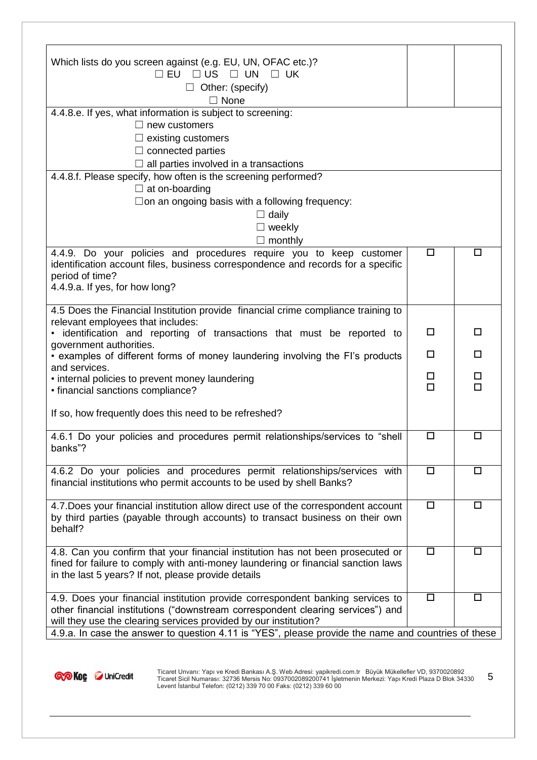| Which lists do you screen against (e.g. EU, UN, OFAC etc.)?                                                                                                          |             |        |
|----------------------------------------------------------------------------------------------------------------------------------------------------------------------|-------------|--------|
| $\square$ EU<br>$\Box$ US $\Box$ UN<br>$\Box$ UK                                                                                                                     |             |        |
| $\Box$ Other: (specify)                                                                                                                                              |             |        |
| $\Box$ None                                                                                                                                                          |             |        |
| 4.4.8.e. If yes, what information is subject to screening:                                                                                                           |             |        |
| $\Box$ new customers                                                                                                                                                 |             |        |
| $\Box$ existing customers                                                                                                                                            |             |        |
| $\Box$ connected parties                                                                                                                                             |             |        |
| $\Box$ all parties involved in a transactions                                                                                                                        |             |        |
| 4.4.8.f. Please specify, how often is the screening performed?                                                                                                       |             |        |
| $\Box$ at on-boarding                                                                                                                                                |             |        |
| $\Box$ on an ongoing basis with a following frequency:                                                                                                               |             |        |
| $\Box$ daily                                                                                                                                                         |             |        |
| $\Box$ weekly                                                                                                                                                        |             |        |
| $\Box$ monthly<br>4.4.9. Do your policies and procedures require you to keep customer                                                                                | $\Box$      | $\Box$ |
| identification account files, business correspondence and records for a specific                                                                                     |             |        |
| period of time?                                                                                                                                                      |             |        |
| 4.4.9.a. If yes, for how long?                                                                                                                                       |             |        |
|                                                                                                                                                                      |             |        |
| 4.5 Does the Financial Institution provide financial crime compliance training to                                                                                    |             |        |
| relevant employees that includes:<br>identification and reporting of transactions that must be reported to                                                           | $\Box$      | $\Box$ |
| government authorities.                                                                                                                                              |             |        |
| • examples of different forms of money laundering involving the FI's products                                                                                        | $\Box$      | □      |
| and services.                                                                                                                                                        |             |        |
| • internal policies to prevent money laundering                                                                                                                      | □<br>$\Box$ | □<br>□ |
| • financial sanctions compliance?                                                                                                                                    |             |        |
| If so, how frequently does this need to be refreshed?                                                                                                                |             |        |
|                                                                                                                                                                      |             |        |
| 4.6.1 Do your policies and procedures permit relationships/services to "shell                                                                                        | $\Box$      | $\Box$ |
| banks"?                                                                                                                                                              |             |        |
|                                                                                                                                                                      | $\Box$      |        |
| 4.6.2 Do your policies and procedures permit relationships/services with<br>financial institutions who permit accounts to be used by shell Banks?                    |             | □      |
|                                                                                                                                                                      |             |        |
| 4.7. Does your financial institution allow direct use of the correspondent account                                                                                   | $\Box$      | $\Box$ |
| by third parties (payable through accounts) to transact business on their own                                                                                        |             |        |
| behalf?                                                                                                                                                              |             |        |
|                                                                                                                                                                      |             |        |
| 4.8. Can you confirm that your financial institution has not been prosecuted or<br>fined for failure to comply with anti-money laundering or financial sanction laws | $\Box$      | $\Box$ |
| in the last 5 years? If not, please provide details                                                                                                                  |             |        |
|                                                                                                                                                                      |             |        |
| 4.9. Does your financial institution provide correspondent banking services to                                                                                       | $\Box$      | $\Box$ |
| other financial institutions ("downstream correspondent clearing services") and                                                                                      |             |        |
| will they use the clearing services provided by our institution?                                                                                                     |             |        |
| 4.9.a. In case the answer to question 4.11 is "YES", please provide the name and countries of these                                                                  |             |        |

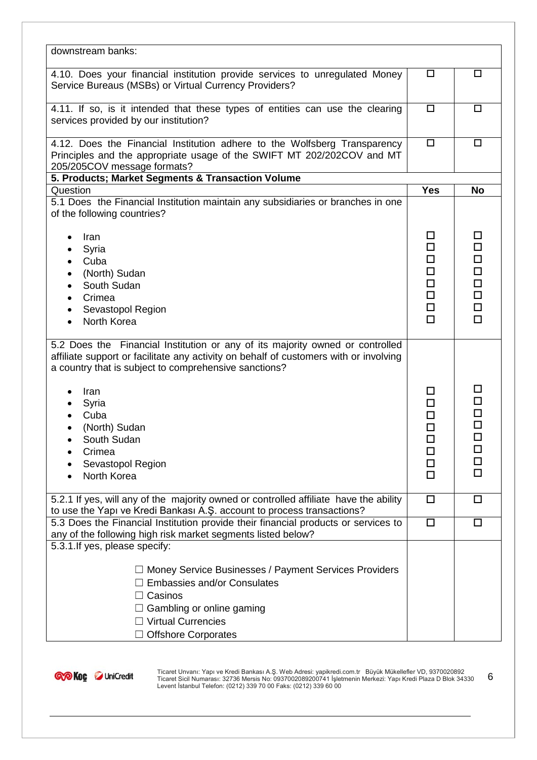| downstream banks:                                                                                                                                                                                                                                                                                                                      |                                                     |                                                                         |
|----------------------------------------------------------------------------------------------------------------------------------------------------------------------------------------------------------------------------------------------------------------------------------------------------------------------------------------|-----------------------------------------------------|-------------------------------------------------------------------------|
| 4.10. Does your financial institution provide services to unregulated Money<br>Service Bureaus (MSBs) or Virtual Currency Providers?                                                                                                                                                                                                   | $\Box$                                              | □                                                                       |
| 4.11. If so, is it intended that these types of entities can use the clearing<br>services provided by our institution?                                                                                                                                                                                                                 | $\Box$                                              | □                                                                       |
| 4.12. Does the Financial Institution adhere to the Wolfsberg Transparency<br>Principles and the appropriate usage of the SWIFT MT 202/202COV and MT<br>205/205COV message formats?                                                                                                                                                     | $\Box$                                              | $\Box$                                                                  |
| 5. Products; Market Segments & Transaction Volume                                                                                                                                                                                                                                                                                      |                                                     |                                                                         |
| Question                                                                                                                                                                                                                                                                                                                               | <b>Yes</b>                                          | <b>No</b>                                                               |
| 5.1 Does the Financial Institution maintain any subsidiaries or branches in one<br>of the following countries?                                                                                                                                                                                                                         |                                                     |                                                                         |
| Iran<br>Syria<br>Cuba<br>(North) Sudan<br>South Sudan<br>Crimea<br>Sevastopol Region<br>٠<br>North Korea                                                                                                                                                                                                                               | □<br>□<br>□<br>□<br>□<br>$\Box$<br>$\Box$<br>$\Box$ | □<br>$\Box$<br>$\Box$<br>$\Box$<br>$\Box$<br>$\Box$<br>$\Box$<br>$\Box$ |
| 5.2 Does the Financial Institution or any of its majority owned or controlled<br>affiliate support or facilitate any activity on behalf of customers with or involving<br>a country that is subject to comprehensive sanctions?<br>Iran<br>Syria<br>Cuba<br>(North) Sudan<br>South Sudan<br>Crimea<br>Sevastopol Region<br>North Korea | LΙ<br>□<br>□<br>□<br>ப<br>ப<br>□<br>□               | ப<br>$\Box$<br>$\Box$<br>$\Box$<br>$\Box$<br>□<br>$\Box$<br>□           |
| 5.2.1 If yes, will any of the majority owned or controlled affiliate have the ability<br>to use the Yapı ve Kredi Bankası A.Ş. account to process transactions?                                                                                                                                                                        | $\Box$                                              | □                                                                       |
| 5.3 Does the Financial Institution provide their financial products or services to<br>any of the following high risk market segments listed below?<br>5.3.1. If yes, please specify:                                                                                                                                                   | $\Box$                                              | $\Box$                                                                  |
| $\Box$ Money Service Businesses / Payment Services Providers<br>$\Box$ Embassies and/or Consulates<br>Casinos<br>$\Box$ Gambling or online gaming<br>$\Box$ Virtual Currencies<br><b>Offshore Corporates</b>                                                                                                                           |                                                     |                                                                         |